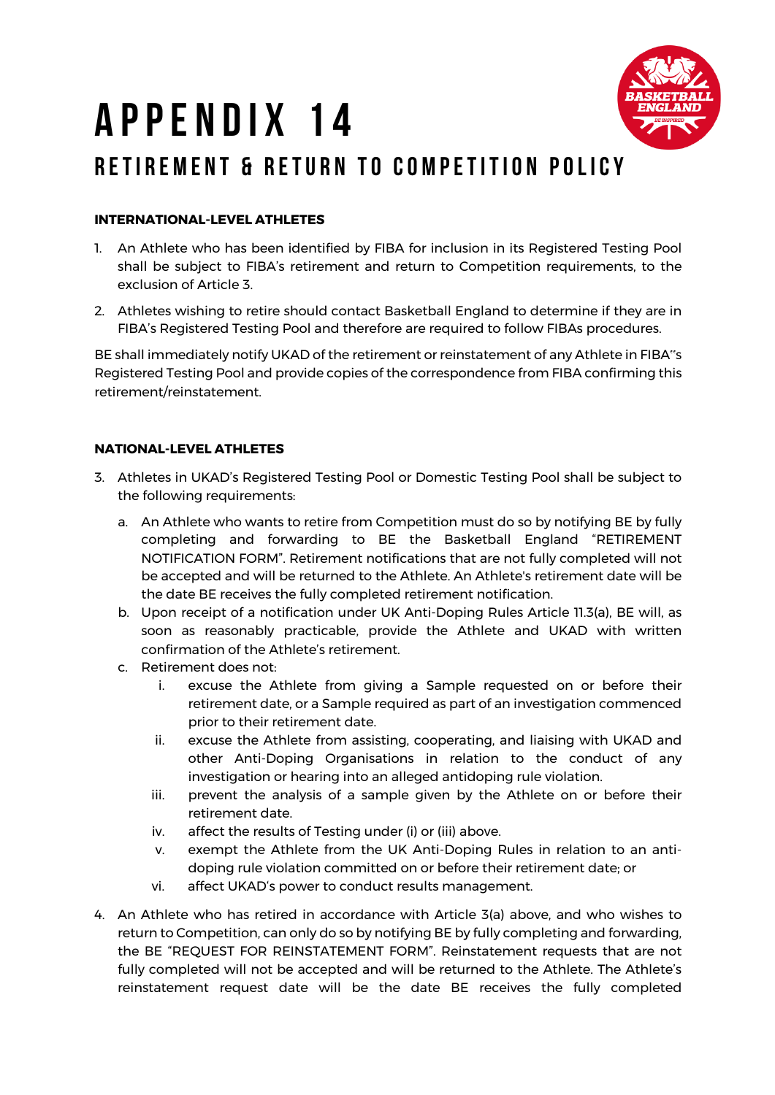# APPENDIX 14 RETIREMENT & RETIIRN TO COMPETITION POLICY



- 1. An Athlete who has been identified by FIBA for inclusion in its Registered Testing Pool shall be subject to FIBA's retirement and return to Competition requirements, to the exclusion of Article 3.
- 2. Athletes wishing to retire should contact Basketball England to determine if they are in FIBA's Registered Testing Pool and therefore are required to follow FIBAs procedures.

BE shall immediately notify UKAD of the retirement or reinstatement of any Athlete in FIBA"s Registered Testing Pool and provide copies of the correspondence from FIBA confirming this retirement/reinstatement.

## **NATIONAL-LEVEL ATHLETES**

- 3. Athletes in UKAD's Registered Testing Pool or Domestic Testing Pool shall be subject to the following requirements:
	- a. An Athlete who wants to retire from Competition must do so by notifying BE by fully completing and forwarding to BE the Basketball England "RETIREMENT NOTIFICATION FORM". Retirement notifications that are not fully completed will not be accepted and will be returned to the Athlete. An Athlete's retirement date will be the date BE receives the fully completed retirement notification.
	- b. Upon receipt of a notification under UK Anti-Doping Rules Article 11.3(a), BE will, as soon as reasonably practicable, provide the Athlete and UKAD with written confirmation of the Athlete's retirement.
	- c. Retirement does not:
		- i. excuse the Athlete from giving a Sample requested on or before their retirement date, or a Sample required as part of an investigation commenced prior to their retirement date.
		- ii. excuse the Athlete from assisting, cooperating, and liaising with UKAD and other Anti-Doping Organisations in relation to the conduct of any investigation or hearing into an alleged antidoping rule violation.
		- iii. prevent the analysis of a sample given by the Athlete on or before their retirement date.
		- iv. affect the results of Testing under (i) or (iii) above.
		- v. exempt the Athlete from the UK Anti-Doping Rules in relation to an antidoping rule violation committed on or before their retirement date; or
		- vi. affect UKAD's power to conduct results management.
- 4. An Athlete who has retired in accordance with Article 3(a) above, and who wishes to return to Competition, can only do so by notifying BE by fully completing and forwarding, the BE "REQUEST FOR REINSTATEMENT FORM". Reinstatement requests that are not fully completed will not be accepted and will be returned to the Athlete. The Athlete's reinstatement request date will be the date BE receives the fully completed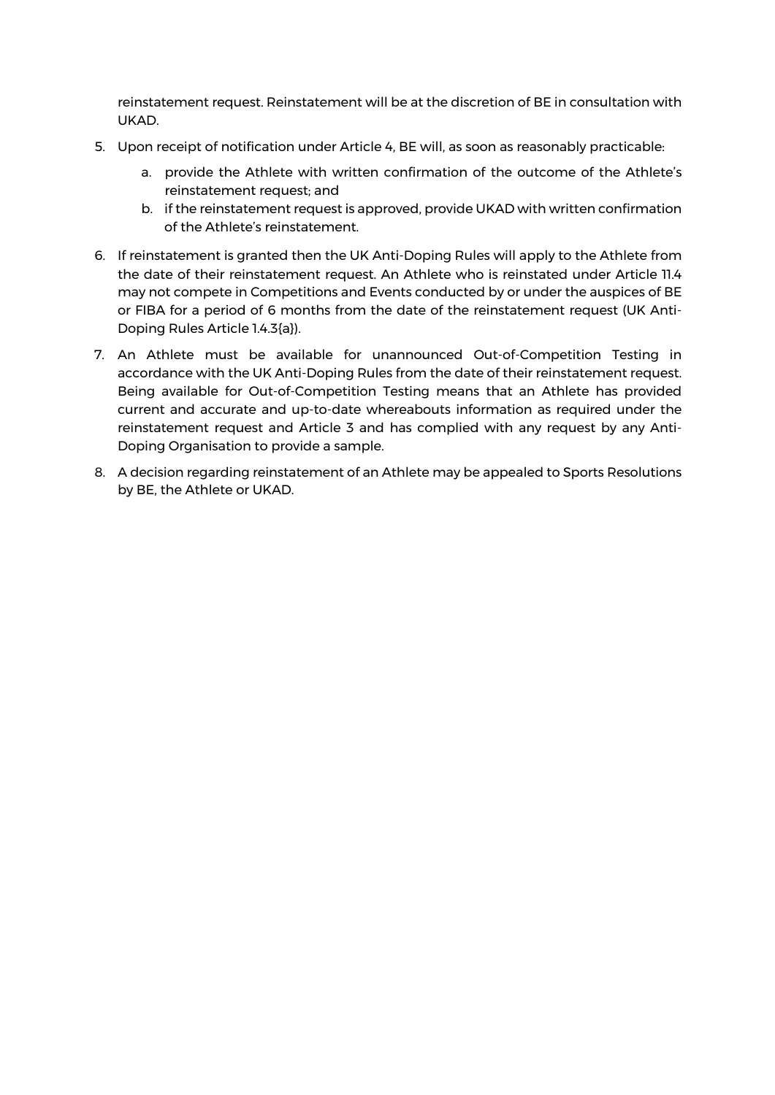reinstatement request. Reinstatement will be at the discretion of BE in consultation with UKAD.

- 5. Upon receipt of notification under Article 4, BE will, as soon as reasonably practicable:
	- a. provide the Athlete with written confirmation of the outcome of the Athlete's reinstatement request; and
	- b. if the reinstatement request is approved, provide UKAD with written confirmation of the Athlete's reinstatement.
- 6. If reinstatement is granted then the UK Anti-Doping Rules will apply to the Athlete from the date of their reinstatement request. An Athlete who is reinstated under Article 11.4 may not compete in Competitions and Events conducted by or under the auspices of BE or FIBA for a period of 6 months from the date of the reinstatement request (UK Anti-Doping Rules Article 1.4.3{a}).
- 7. An Athlete must be available for unannounced Out-of-Competition Testing in accordance with the UK Anti-Doping Rules from the date of their reinstatement request. Being available for Out-of-Competition Testing means that an Athlete has provided current and accurate and up-to-date whereabouts information as required under the reinstatement request and Article 3 and has complied with any request by any Anti-Doping Organisation to provide a sample.
- 8. A decision regarding reinstatement of an Athlete may be appealed to Sports Resolutions by BE, the Athlete or UKAD.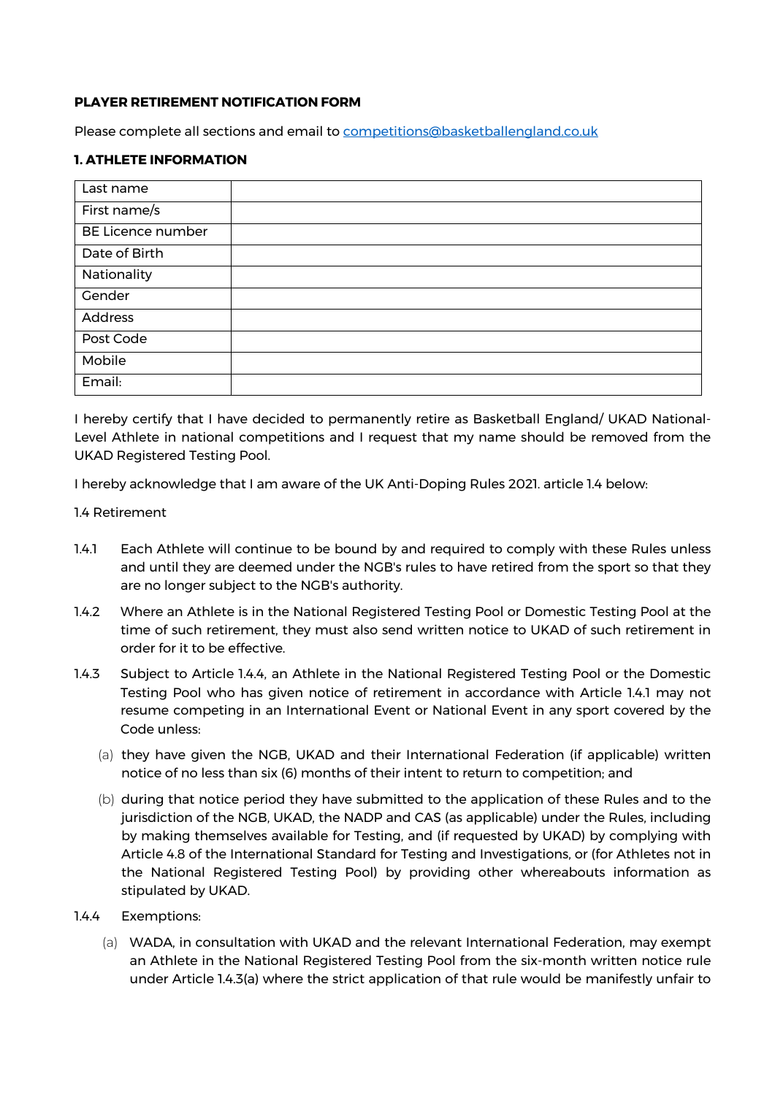## **PLAYER RETIREMENT NOTIFICATION FORM**

Please complete all sections and email to competitions@basketballengland.co.uk

## **1. ATHLETE INFORMATION**

| Last name         |  |
|-------------------|--|
| First name/s      |  |
| BE Licence number |  |
| Date of Birth     |  |
| Nationality       |  |
| Gender            |  |
| Address           |  |
| Post Code         |  |
| Mobile            |  |
| Email:            |  |

I hereby certify that I have decided to permanently retire as Basketball England/ UKAD National-Level Athlete in national competitions and I request that my name should be removed from the UKAD Registered Testing Pool.

I hereby acknowledge that I am aware of the UK Anti-Doping Rules 2021. article 1.4 below:

1.4 Retirement

- 1.4.1 Each Athlete will continue to be bound by and required to comply with these Rules unless and until they are deemed under the NGB's rules to have retired from the sport so that they are no longer subject to the NGB's authority.
- 1.4.2 Where an Athlete is in the National Registered Testing Pool or Domestic Testing Pool at the time of such retirement, they must also send written notice to UKAD of such retirement in order for it to be effective.
- 1.4.3 Subject to Article 1.4.4, an Athlete in the National Registered Testing Pool or the Domestic Testing Pool who has given notice of retirement in accordance with Article 1.4.1 may not resume competing in an International Event or National Event in any sport covered by the Code unless:
	- (a) they have given the NGB, UKAD and their International Federation (if applicable) written notice of no less than six (6) months of their intent to return to competition; and
	- (b) during that notice period they have submitted to the application of these Rules and to the jurisdiction of the NGB, UKAD, the NADP and CAS (as applicable) under the Rules, including by making themselves available for Testing, and (if requested by UKAD) by complying with Article 4.8 of the International Standard for Testing and Investigations, or (for Athletes not in the National Registered Testing Pool) by providing other whereabouts information as stipulated by UKAD.
- 1.4.4 Exemptions:
	- (a) WADA, in consultation with UKAD and the relevant International Federation, may exempt an Athlete in the National Registered Testing Pool from the six-month written notice rule under Article 1.4.3(a) where the strict application of that rule would be manifestly unfair to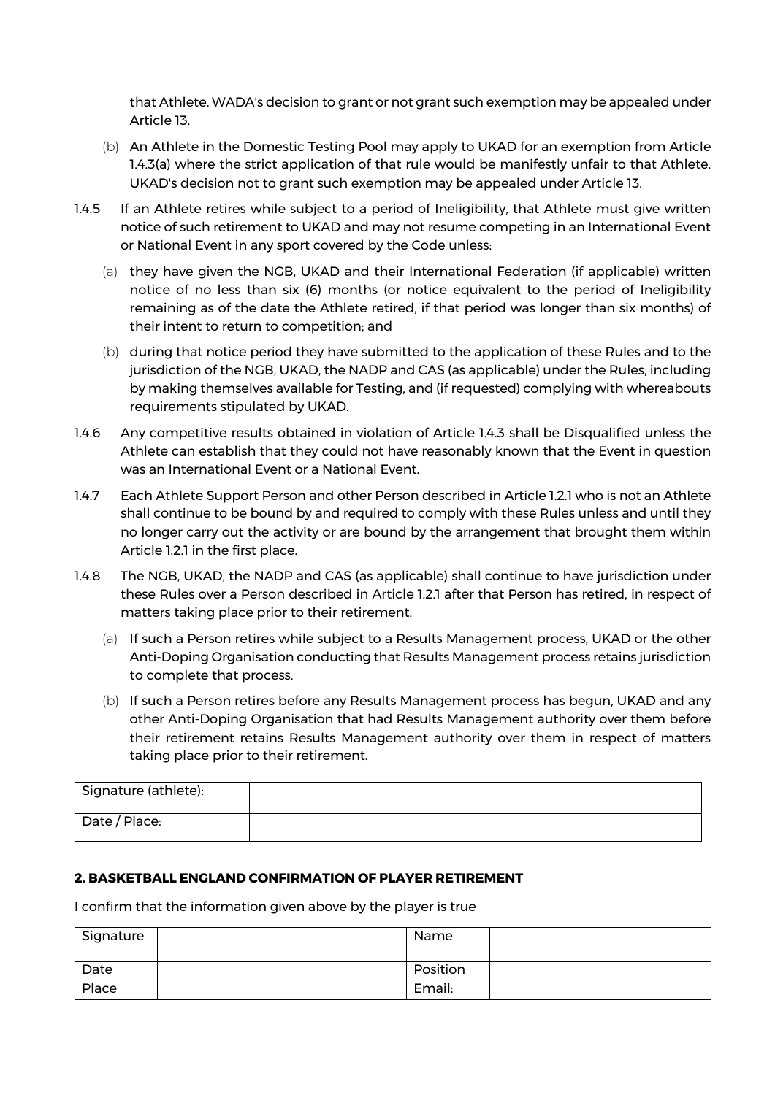that Athlete. WADA's decision to grant or not grant such exemption may be appealed under Article 13.

- (b) An Athlete in the Domestic Testing Pool may apply to UKAD for an exemption from Article 1.4.3(a) where the strict application of that rule would be manifestly unfair to that Athlete. UKAD's decision not to grant such exemption may be appealed under Article 13.
- 1.4.5 If an Athlete retires while subject to a period of Ineligibility, that Athlete must give written notice of such retirement to UKAD and may not resume competing in an International Event or National Event in any sport covered by the Code unless:
	- (a) they have given the NGB, UKAD and their International Federation (if applicable) written notice of no less than six (6) months (or notice equivalent to the period of Ineligibility remaining as of the date the Athlete retired, if that period was longer than six months) of their intent to return to competition; and
	- (b) during that notice period they have submitted to the application of these Rules and to the jurisdiction of the NGB, UKAD, the NADP and CAS (as applicable) under the Rules, including by making themselves available for Testing, and (if requested) complying with whereabouts requirements stipulated by UKAD.
- 1.4.6 Any competitive results obtained in violation of Article 1.4.3 shall be Disqualified unless the Athlete can establish that they could not have reasonably known that the Event in question was an International Event or a National Event.
- 1.4.7 Each Athlete Support Person and other Person described in Article 1.2.1 who is not an Athlete shall continue to be bound by and required to comply with these Rules unless and until they no longer carry out the activity or are bound by the arrangement that brought them within Article 1.2.1 in the first place.
- 1.4.8 The NGB, UKAD, the NADP and CAS (as applicable) shall continue to have jurisdiction under these Rules over a Person described in Article 1.2.1 after that Person has retired, in respect of matters taking place prior to their retirement.
	- (a) If such a Person retires while subject to a Results Management process, UKAD or the other Anti-Doping Organisation conducting that Results Management process retains jurisdiction to complete that process.
	- (b) If such a Person retires before any Results Management process has begun, UKAD and any other Anti-Doping Organisation that had Results Management authority over them before their retirement retains Results Management authority over them in respect of matters taking place prior to their retirement.

| Signature (athlete): |  |
|----------------------|--|
| Date / Place:        |  |

#### **2. BASKETBALL ENGLAND CONFIRMATION OF PLAYER RETIREMENT**

I confirm that the information given above by the player is true

| Signature | Name     |  |
|-----------|----------|--|
| Date      | Position |  |
| Place     | Email:   |  |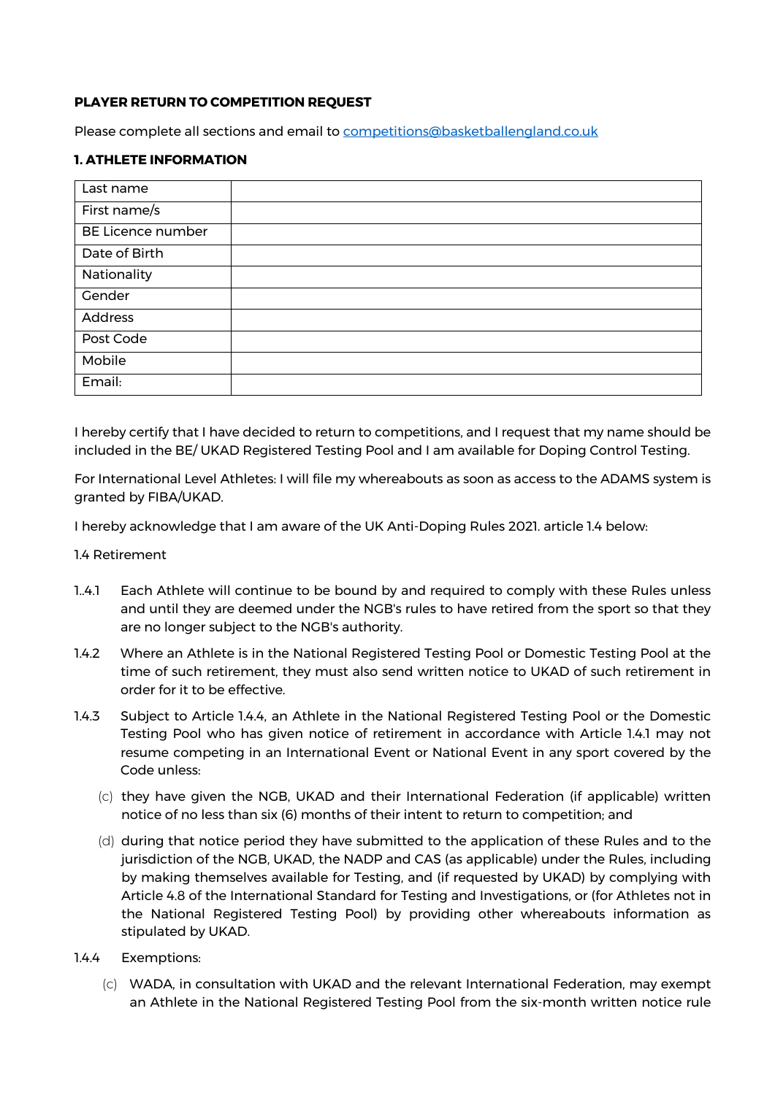## **PLAYER RETURN TO COMPETITION REQUEST**

Please complete all sections and email to competitions@basketballengland.co.uk

## **1. ATHLETE INFORMATION**

| Last name         |  |
|-------------------|--|
| First name/s      |  |
| BE Licence number |  |
| Date of Birth     |  |
| Nationality       |  |
| Gender            |  |
| Address           |  |
| Post Code         |  |
| Mobile            |  |
| Email:            |  |

I hereby certify that I have decided to return to competitions, and I request that my name should be included in the BE/ UKAD Registered Testing Pool and I am available for Doping Control Testing.

For International Level Athletes: I will file my whereabouts as soon as access to the ADAMS system is granted by FIBA/UKAD.

I hereby acknowledge that I am aware of the UK Anti-Doping Rules 2021. article 1.4 below:

1.4 Retirement

- 1..4.1 Each Athlete will continue to be bound by and required to comply with these Rules unless and until they are deemed under the NGB's rules to have retired from the sport so that they are no longer subject to the NGB's authority.
- 1.4.2 Where an Athlete is in the National Registered Testing Pool or Domestic Testing Pool at the time of such retirement, they must also send written notice to UKAD of such retirement in order for it to be effective.
- 1.4.3 Subject to Article 1.4.4, an Athlete in the National Registered Testing Pool or the Domestic Testing Pool who has given notice of retirement in accordance with Article 1.4.1 may not resume competing in an International Event or National Event in any sport covered by the Code unless:
	- (c) they have given the NGB, UKAD and their International Federation (if applicable) written notice of no less than six (6) months of their intent to return to competition; and
	- (d) during that notice period they have submitted to the application of these Rules and to the jurisdiction of the NGB, UKAD, the NADP and CAS (as applicable) under the Rules, including by making themselves available for Testing, and (if requested by UKAD) by complying with Article 4.8 of the International Standard for Testing and Investigations, or (for Athletes not in the National Registered Testing Pool) by providing other whereabouts information as stipulated by UKAD.
- 1.4.4 Exemptions:
	- (c) WADA, in consultation with UKAD and the relevant International Federation, may exempt an Athlete in the National Registered Testing Pool from the six-month written notice rule